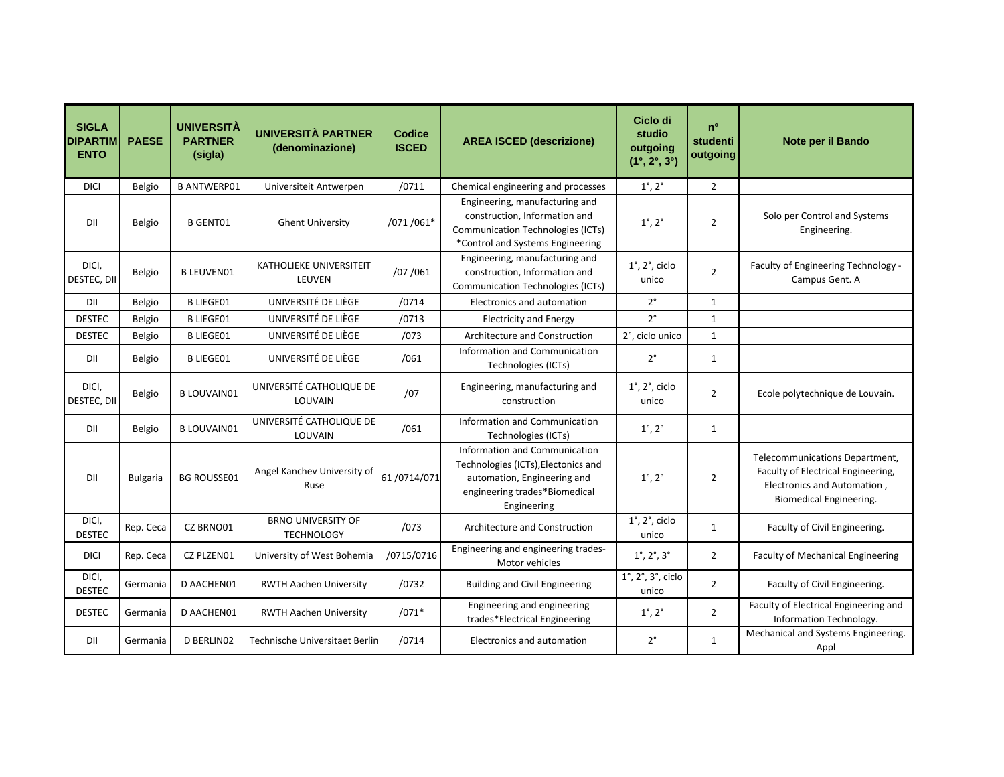| <b>SIGLA</b><br><b>DIPARTIM</b><br><b>ENTO</b> | <b>PAESE</b>    | <b>UNIVERSITÀ</b><br><b>PARTNER</b><br>(sigla) | UNIVERSITÀ PARTNER<br>(denominazione)          | <b>Codice</b><br><b>ISCED</b> | <b>AREA ISCED (descrizione)</b>                                                                                                                     | Ciclo di<br>studio<br>outgoing<br>$(1^{\circ}, 2^{\circ}, 3^{\circ})$ | $n^{\circ}$<br>studenti<br>outgoing | Note per il Bando                                                                                                              |
|------------------------------------------------|-----------------|------------------------------------------------|------------------------------------------------|-------------------------------|-----------------------------------------------------------------------------------------------------------------------------------------------------|-----------------------------------------------------------------------|-------------------------------------|--------------------------------------------------------------------------------------------------------------------------------|
| <b>DICI</b>                                    | Belgio          | <b>B ANTWERP01</b>                             | Universiteit Antwerpen                         | /0711                         | Chemical engineering and processes                                                                                                                  | $1^{\circ}$ , $2^{\circ}$                                             | $\overline{2}$                      |                                                                                                                                |
| DII                                            | Belgio          | <b>B GENT01</b>                                | <b>Ghent University</b>                        | /071/061*                     | Engineering, manufacturing and<br>construction, Information and<br><b>Communication Technologies (ICTs)</b><br>*Control and Systems Engineering     | $1^{\circ}$ , $2^{\circ}$                                             | $\overline{2}$                      | Solo per Control and Systems<br>Engineering.                                                                                   |
| DICI,<br>DESTEC, DII                           | Belgio          | <b>B LEUVENO1</b>                              | KATHOLIEKE UNIVERSITEIT<br>LEUVEN              | /07 /061                      | Engineering, manufacturing and<br>construction, Information and<br><b>Communication Technologies (ICTs)</b>                                         | $1^\circ$ , $2^\circ$ , ciclo<br>unico                                | $\overline{2}$                      | Faculty of Engineering Technology -<br>Campus Gent. A                                                                          |
| DII                                            | Belgio          | <b>B LIEGE01</b>                               | UNIVERSITÉ DE LIÈGE                            | /0714                         | <b>Electronics and automation</b>                                                                                                                   | $2^{\circ}$                                                           | $\mathbf{1}$                        |                                                                                                                                |
| <b>DESTEC</b>                                  | Belgio          | <b>B LIEGE01</b>                               | UNIVERSITÉ DE LIÈGE                            | /0713                         | <b>Electricity and Energy</b>                                                                                                                       | $2^{\circ}$                                                           | $\mathbf{1}$                        |                                                                                                                                |
| <b>DESTEC</b>                                  | Belgio          | <b>B LIEGE01</b>                               | UNIVERSITÉ DE LIÈGE                            | /073                          | Architecture and Construction                                                                                                                       | 2°, ciclo unico                                                       | $\mathbf{1}$                        |                                                                                                                                |
| DII                                            | Belgio          | <b>B LIEGE01</b>                               | UNIVERSITÉ DE LIÈGE                            | /061                          | Information and Communication<br>Technologies (ICTs)                                                                                                | $2^{\circ}$                                                           | $\mathbf{1}$                        |                                                                                                                                |
| DICI,<br>DESTEC, DII                           | Belgio          | <b>B LOUVAIN01</b>                             | UNIVERSITÉ CATHOLIQUE DE<br>LOUVAIN            | /07                           | Engineering, manufacturing and<br>construction                                                                                                      | $1^\circ$ , $2^\circ$ , ciclo<br>unico                                | $\overline{2}$                      | Ecole polytechnique de Louvain.                                                                                                |
| DII                                            | Belgio          | <b>B LOUVAIN01</b>                             | UNIVERSITÉ CATHOLIQUE DE<br>LOUVAIN            | /061                          | Information and Communication<br>Technologies (ICTs)                                                                                                | $1^{\circ}$ , $2^{\circ}$                                             | 1                                   |                                                                                                                                |
| DII                                            | <b>Bulgaria</b> | <b>BG ROUSSE01</b>                             | Angel Kanchev University of<br>Ruse            | 61/0714/071                   | Information and Communication<br>Technologies (ICTs), Electonics and<br>automation, Engineering and<br>engineering trades*Biomedical<br>Engineering | $1^{\circ}$ , $2^{\circ}$                                             | $\overline{2}$                      | Telecommunications Department,<br>Faculty of Electrical Engineering,<br>Electronics and Automation,<br>Biomedical Engineering. |
| DICI,<br><b>DESTEC</b>                         | Rep. Ceca       | CZ BRNO01                                      | <b>BRNO UNIVERSITY OF</b><br><b>TECHNOLOGY</b> | /073                          | Architecture and Construction                                                                                                                       | $1^\circ$ , $2^\circ$ , ciclo<br>unico                                | $\mathbf{1}$                        | Faculty of Civil Engineering.                                                                                                  |
| <b>DICI</b>                                    | Rep. Ceca       | CZ PLZEN01                                     | University of West Bohemia                     | /0715/0716                    | Engineering and engineering trades-<br>Motor vehicles                                                                                               | $1^{\circ}$ , $2^{\circ}$ , $3^{\circ}$                               | $\overline{2}$                      | Faculty of Mechanical Engineering                                                                                              |
| DICI,<br><b>DESTEC</b>                         | Germania        | D AACHEN01                                     | <b>RWTH Aachen University</b>                  | /0732                         | <b>Building and Civil Engineering</b>                                                                                                               | $1^\circ$ , $2^\circ$ , $3^\circ$ , ciclo<br>unico                    | $\overline{2}$                      | Faculty of Civil Engineering.                                                                                                  |
| <b>DESTEC</b>                                  | Germania        | D AACHEN01                                     | <b>RWTH Aachen University</b>                  | $/071*$                       | Engineering and engineering<br>trades*Electrical Engineering                                                                                        | $1^{\circ}$ , $2^{\circ}$                                             | $\overline{2}$                      | Faculty of Electrical Engineering and<br>Information Technology.                                                               |
| DII                                            | Germania        | D BERLINO2                                     | Technische Universitaet Berlin                 | /0714                         | Electronics and automation                                                                                                                          | $2^{\circ}$                                                           | $\mathbf{1}$                        | Mechanical and Systems Engineering.<br>Appl                                                                                    |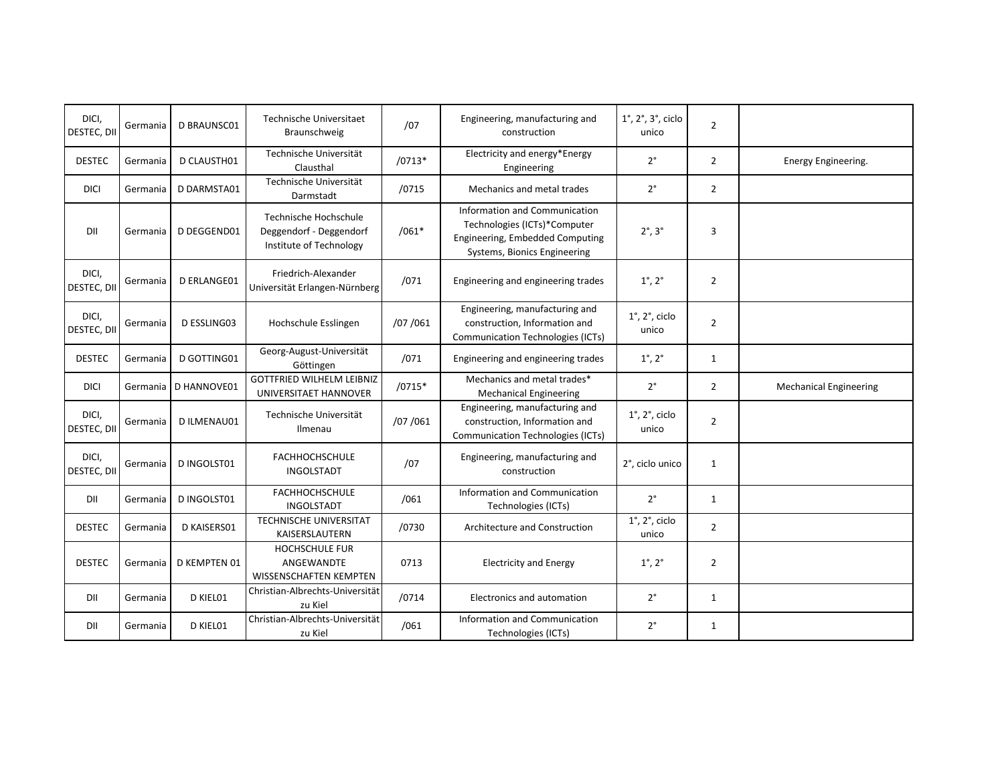| DICI,<br>DESTEC, DII | Germania | <b>D BRAUNSC01</b> | Technische Universitaet<br>Braunschweig                                     | /07      | Engineering, manufacturing and<br>construction                                                                                   | $1^\circ$ , $2^\circ$ , $3^\circ$ , ciclo<br>unico | $\overline{2}$ |                               |
|----------------------|----------|--------------------|-----------------------------------------------------------------------------|----------|----------------------------------------------------------------------------------------------------------------------------------|----------------------------------------------------|----------------|-------------------------------|
| <b>DESTEC</b>        | Germania | D CLAUSTH01        | Technische Universität<br>Clausthal                                         | $/0713*$ | Electricity and energy*Energy<br>Engineering                                                                                     | $2^{\circ}$                                        | $\overline{2}$ | Energy Engineering.           |
| <b>DICI</b>          | Germania | D DARMSTA01        | Technische Universität<br>Darmstadt                                         | /0715    | Mechanics and metal trades                                                                                                       | $2^{\circ}$                                        | $\overline{2}$ |                               |
| DII                  | Germania | D DEGGEND01        | Technische Hochschule<br>Deggendorf - Deggendorf<br>Institute of Technology | $/061*$  | Information and Communication<br>Technologies (ICTs)*Computer<br>Engineering, Embedded Computing<br>Systems, Bionics Engineering | $2^\circ$ , $3^\circ$                              | 3              |                               |
| DICI,<br>DESTEC, DII | Germania | <b>D ERLANGE01</b> | Friedrich-Alexander<br>Universität Erlangen-Nürnberg                        | /071     | Engineering and engineering trades                                                                                               | $1^{\circ}$ , $2^{\circ}$                          | $\overline{2}$ |                               |
| DICI,<br>DESTEC, DII | Germania | D ESSLING03        | Hochschule Esslingen                                                        | /07/061  | Engineering, manufacturing and<br>construction, Information and<br><b>Communication Technologies (ICTs)</b>                      | $1^\circ$ , $2^\circ$ , ciclo<br>unico             | $\overline{2}$ |                               |
| <b>DESTEC</b>        | Germania | D GOTTING01        | Georg-August-Universität<br>Göttingen                                       | /071     | Engineering and engineering trades                                                                                               | $1^{\circ}$ , $2^{\circ}$                          | $\mathbf{1}$   |                               |
| <b>DICI</b>          | Germania | D HANNOVE01        | <b>GOTTFRIED WILHELM LEIBNIZ</b><br>UNIVERSITAET HANNOVER                   | $/0715*$ | Mechanics and metal trades*<br><b>Mechanical Engineering</b>                                                                     | $2^{\circ}$                                        | $\overline{2}$ | <b>Mechanical Engineering</b> |
| DICI,<br>DESTEC, DII | Germania | D ILMENAU01        | Technische Universität<br>Ilmenau                                           | /07/061  | Engineering, manufacturing and<br>construction, Information and<br><b>Communication Technologies (ICTs)</b>                      | $1^\circ$ , $2^\circ$ , ciclo<br>unico             | $\overline{2}$ |                               |
| DICI,<br>DESTEC, DII | Germania | D INGOLST01        | <b>FACHHOCHSCHULE</b><br>INGOLSTADT                                         | /07      | Engineering, manufacturing and<br>construction                                                                                   | 2°, ciclo unico                                    | $\mathbf{1}$   |                               |
| DII                  | Germania | D INGOLST01        | <b>FACHHOCHSCHULE</b><br><b>INGOLSTADT</b>                                  | /061     | Information and Communication<br>Technologies (ICTs)                                                                             | $2^{\circ}$                                        | $\mathbf{1}$   |                               |
| <b>DESTEC</b>        | Germania | D KAISERS01        | <b>TECHNISCHE UNIVERSITAT</b><br>KAISERSLAUTERN                             | /0730    | Architecture and Construction                                                                                                    | $1^\circ$ , $2^\circ$ , ciclo<br>unico             | $\overline{2}$ |                               |
| <b>DESTEC</b>        | Germania | D KEMPTEN 01       | <b>HOCHSCHULE FUR</b><br>ANGEWANDTE<br>WISSENSCHAFTEN KEMPTEN               | 0713     | <b>Electricity and Energy</b>                                                                                                    | $1^\circ$ , $2^\circ$                              | $\overline{2}$ |                               |
| DII                  | Germania | D KIEL01           | Christian-Albrechts-Universität<br>zu Kiel                                  | /0714    | Electronics and automation                                                                                                       | $2^{\circ}$                                        | $\mathbf{1}$   |                               |
| DII                  | Germania | D KIEL01           | Christian-Albrechts-Universität<br>zu Kiel                                  | /061     | Information and Communication<br>Technologies (ICTs)                                                                             | $2^{\circ}$                                        | $\mathbf{1}$   |                               |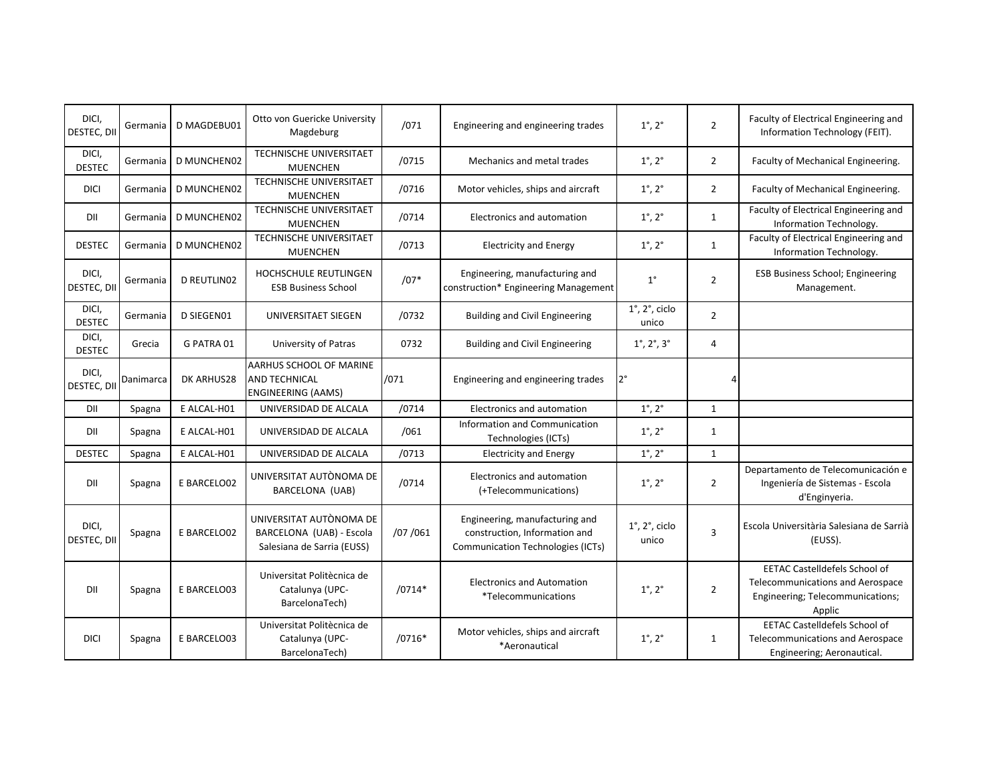| DICI,<br>DESTEC, DII        | Germania  | D MAGDEBU01        | Otto von Guericke University<br>Magdeburg                                           | /071     | Engineering and engineering trades                                                                          | $1^{\circ}$ , $2^{\circ}$                              | $\overline{2}$ | Faculty of Electrical Engineering and<br>Information Technology (FEIT).                                                |
|-----------------------------|-----------|--------------------|-------------------------------------------------------------------------------------|----------|-------------------------------------------------------------------------------------------------------------|--------------------------------------------------------|----------------|------------------------------------------------------------------------------------------------------------------------|
| DICI,<br><b>DESTEC</b>      | Germania  | <b>D MUNCHEN02</b> | <b>TECHNISCHE UNIVERSITAET</b><br><b>MUENCHEN</b>                                   | /0715    | Mechanics and metal trades                                                                                  | $1^{\circ}$ , $2^{\circ}$                              | $\overline{2}$ | Faculty of Mechanical Engineering.                                                                                     |
| <b>DICI</b>                 | Germania  | <b>D MUNCHEN02</b> | <b>TECHNISCHE UNIVERSITAET</b><br><b>MUENCHEN</b>                                   | /0716    | Motor vehicles, ships and aircraft                                                                          | $1^{\circ}$ , $2^{\circ}$                              | $\overline{2}$ | Faculty of Mechanical Engineering.                                                                                     |
| DII                         | Germania  | <b>D MUNCHEN02</b> | <b>TECHNISCHE UNIVERSITAET</b><br><b>MUENCHEN</b>                                   | /0714    | <b>Electronics and automation</b>                                                                           | $1^{\circ}$ , $2^{\circ}$                              | $\mathbf{1}$   | Faculty of Electrical Engineering and<br>Information Technology.                                                       |
| <b>DESTEC</b>               | Germania  | <b>D MUNCHEN02</b> | <b>TECHNISCHE UNIVERSITAET</b><br><b>MUENCHEN</b>                                   | /0713    | <b>Electricity and Energy</b>                                                                               | $1^{\circ}$ , $2^{\circ}$                              | $\mathbf{1}$   | Faculty of Electrical Engineering and<br>Information Technology.                                                       |
| DICI,<br><b>DESTEC. DII</b> | Germania  | <b>D REUTLINO2</b> | <b>HOCHSCHULE REUTLINGEN</b><br><b>ESB Business School</b>                          | $/07*$   | Engineering, manufacturing and<br>construction* Engineering Management                                      | $1^{\circ}$                                            | $\overline{2}$ | <b>ESB Business School; Engineering</b><br>Management.                                                                 |
| DICI,<br><b>DESTEC</b>      | Germania  | D SIEGEN01         | UNIVERSITAET SIEGEN                                                                 | /0732    | <b>Building and Civil Engineering</b>                                                                       | $\overline{1}^{\circ}$ , 2 $^{\circ}$ , ciclo<br>unico | $\overline{2}$ |                                                                                                                        |
| DICI,<br><b>DESTEC</b>      | Grecia    | G PATRA 01         | University of Patras                                                                | 0732     | <b>Building and Civil Engineering</b>                                                                       | $1^{\circ}$ , $2^{\circ}$ , $3^{\circ}$                | 4              |                                                                                                                        |
| DICI,<br>DESTEC, DII        | Danimarca | DK ARHUS28         | <b>AARHUS SCHOOL OF MARINE</b><br><b>AND TECHNICAL</b><br><b>ENGINEERING (AAMS)</b> | /071     | Engineering and engineering trades                                                                          | $2^{\circ}$                                            | 4              |                                                                                                                        |
| DII                         | Spagna    | E ALCAL-H01        | UNIVERSIDAD DE ALCALA                                                               | /0714    | Electronics and automation                                                                                  | $1^{\circ}$ , $2^{\circ}$                              | $\mathbf{1}$   |                                                                                                                        |
| DII                         | Spagna    | E ALCAL-H01        | UNIVERSIDAD DE ALCALA                                                               | /061     | Information and Communication<br>Technologies (ICTs)                                                        | $1^{\circ}$ , $2^{\circ}$                              | $\mathbf{1}$   |                                                                                                                        |
| <b>DESTEC</b>               | Spagna    | E ALCAL-H01        | UNIVERSIDAD DE ALCALA                                                               | /0713    | <b>Electricity and Energy</b>                                                                               | $1^{\circ}$ , $2^{\circ}$                              | $\mathbf{1}$   |                                                                                                                        |
| DII                         | Spagna    | E BARCELO02        | UNIVERSITAT AUTÒNOMA DE<br>BARCELONA (UAB)                                          | /0714    | <b>Electronics and automation</b><br>(+Telecommunications)                                                  | $1^{\circ}$ , $2^{\circ}$                              | $\overline{2}$ | Departamento de Telecomunicación e<br>Ingeniería de Sistemas - Escola<br>d'Enginyeria.                                 |
| DICI,<br>DESTEC, DII        | Spagna    | E BARCELO02        | UNIVERSITAT AUTÒNOMA DE<br>BARCELONA (UAB) - Escola<br>Salesiana de Sarria (EUSS)   | /07 /061 | Engineering, manufacturing and<br>construction, Information and<br><b>Communication Technologies (ICTs)</b> | $1^\circ$ , $2^\circ$ , ciclo<br>unico                 | 3              | Escola Universitària Salesiana de Sarrià<br>(EUSS).                                                                    |
| DII                         | Spagna    | E BARCELO03        | Universitat Politècnica de<br>Catalunya (UPC-<br>BarcelonaTech)                     | $/0714*$ | <b>Electronics and Automation</b><br><i>*Telecommunications</i>                                             | $1^{\circ}$ , $2^{\circ}$                              | $\overline{2}$ | <b>EETAC Castelldefels School of</b><br>Telecommunications and Aerospace<br>Engineering; Telecommunications;<br>Applic |
| <b>DICI</b>                 | Spagna    | E BARCELO03        | Universitat Politècnica de<br>Catalunya (UPC-<br>BarcelonaTech)                     | $/0716*$ | Motor vehicles, ships and aircraft<br>*Aeronautical                                                         | $1^{\circ}$ , $2^{\circ}$                              | 1              | <b>EETAC Castelldefels School of</b><br>Telecommunications and Aerospace<br>Engineering; Aeronautical.                 |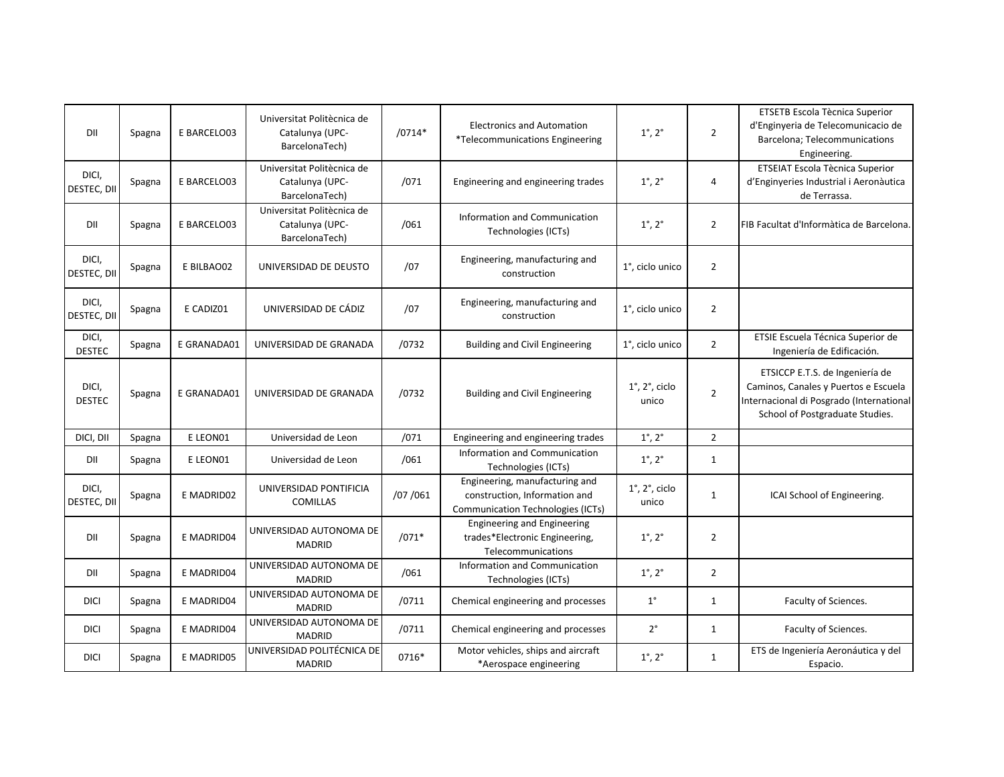| DII                    | Spagna | E BARCELO03 | Universitat Politècnica de<br>Catalunya (UPC-<br>BarcelonaTech) | $/0714*$ | <b>Electronics and Automation</b><br>*Telecommunications Engineering                                        | $1^\circ$ , $2^\circ$                  | $\overline{2}$ | ETSETB Escola Tècnica Superior<br>d'Enginyeria de Telecomunicacio de<br>Barcelona; Telecommunications<br>Engineering.                                  |
|------------------------|--------|-------------|-----------------------------------------------------------------|----------|-------------------------------------------------------------------------------------------------------------|----------------------------------------|----------------|--------------------------------------------------------------------------------------------------------------------------------------------------------|
| DICI,<br>DESTEC, DII   | Spagna | E BARCELO03 | Universitat Politècnica de<br>Catalunya (UPC-<br>BarcelonaTech) | /071     | Engineering and engineering trades                                                                          | $1^{\circ}$ , $2^{\circ}$              | $\overline{4}$ | ETSEIAT Escola Tècnica Superior<br>d'Enginyeries Industrial i Aeronàutica<br>de Terrassa.                                                              |
| DII                    | Spagna | E BARCELO03 | Universitat Politècnica de<br>Catalunya (UPC-<br>BarcelonaTech) | /061     | Information and Communication<br>Technologies (ICTs)                                                        | $1^\circ$ , $2^\circ$                  | $\overline{2}$ | FIB Facultat d'Informàtica de Barcelona.                                                                                                               |
| DICI,<br>DESTEC, DII   | Spagna | E BILBAO02  | UNIVERSIDAD DE DEUSTO                                           | /07      | Engineering, manufacturing and<br>construction                                                              | 1°, ciclo unico                        | $\overline{2}$ |                                                                                                                                                        |
| DICI,<br>DESTEC, DII   | Spagna | E CADIZ01   | UNIVERSIDAD DE CÁDIZ                                            | /07      | Engineering, manufacturing and<br>construction                                                              | 1°, ciclo unico                        | $\overline{2}$ |                                                                                                                                                        |
| DICI,<br><b>DESTEC</b> | Spagna | E GRANADA01 | UNIVERSIDAD DE GRANADA                                          | /0732    | <b>Building and Civil Engineering</b>                                                                       | 1°, ciclo unico                        | $\overline{2}$ | ETSIE Escuela Técnica Superior de<br>Ingeniería de Edificación.                                                                                        |
| DICI,<br><b>DESTEC</b> | Spagna | E GRANADA01 | UNIVERSIDAD DE GRANADA                                          | /0732    | <b>Building and Civil Engineering</b>                                                                       | $1^\circ$ , $2^\circ$ , ciclo<br>unico | $\overline{2}$ | ETSICCP E.T.S. de Ingeniería de<br>Caminos, Canales y Puertos e Escuela<br>Internacional di Posgrado (International<br>School of Postgraduate Studies. |
| DICI, DII              | Spagna | E LEON01    | Universidad de Leon                                             | /071     | Engineering and engineering trades                                                                          | $1^\circ$ , $2^\circ$                  | $\overline{2}$ |                                                                                                                                                        |
| DII                    | Spagna | E LEON01    | Universidad de Leon                                             | /061     | Information and Communication<br>Technologies (ICTs)                                                        | $1^\circ$ , $2^\circ$                  | $\mathbf{1}$   |                                                                                                                                                        |
| DICI,<br>DESTEC, DII   | Spagna | E MADRID02  | UNIVERSIDAD PONTIFICIA<br><b>COMILLAS</b>                       | /07/061  | Engineering, manufacturing and<br>construction, Information and<br><b>Communication Technologies (ICTs)</b> | $1^\circ$ , $2^\circ$ , ciclo<br>unico | $\mathbf{1}$   | ICAI School of Engineering.                                                                                                                            |
| DII                    | Spagna | E MADRID04  | UNIVERSIDAD AUTONOMA DE<br><b>MADRID</b>                        | $/071*$  | <b>Engineering and Engineering</b><br>trades*Electronic Engineering,<br>Telecommunications                  | $1^{\circ}$ , $2^{\circ}$              | $\overline{2}$ |                                                                                                                                                        |
| DII                    | Spagna | E MADRID04  | UNIVERSIDAD AUTONOMA DE<br><b>MADRID</b>                        | /061     | Information and Communication<br>Technologies (ICTs)                                                        | $1^\circ$ , $2^\circ$                  | $\overline{2}$ |                                                                                                                                                        |
| <b>DICI</b>            | Spagna | E MADRID04  | UNIVERSIDAD AUTONOMA DE<br><b>MADRID</b>                        | /0711    | Chemical engineering and processes                                                                          | $1^{\circ}$                            | $\mathbf{1}$   | Faculty of Sciences.                                                                                                                                   |
| <b>DICI</b>            | Spagna | E MADRID04  | UNIVERSIDAD AUTONOMA DE<br><b>MADRID</b>                        | /0711    | Chemical engineering and processes                                                                          | $2^{\circ}$                            | $\mathbf{1}$   | Faculty of Sciences.                                                                                                                                   |
| <b>DICI</b>            | Spagna | E MADRID05  | UNIVERSIDAD POLITÉCNICA DE<br><b>MADRID</b>                     | 0716*    | Motor vehicles, ships and aircraft<br>*Aerospace engineering                                                | $1^{\circ}$ , $2^{\circ}$              | $\mathbf{1}$   | ETS de Ingeniería Aeronáutica y del<br>Espacio.                                                                                                        |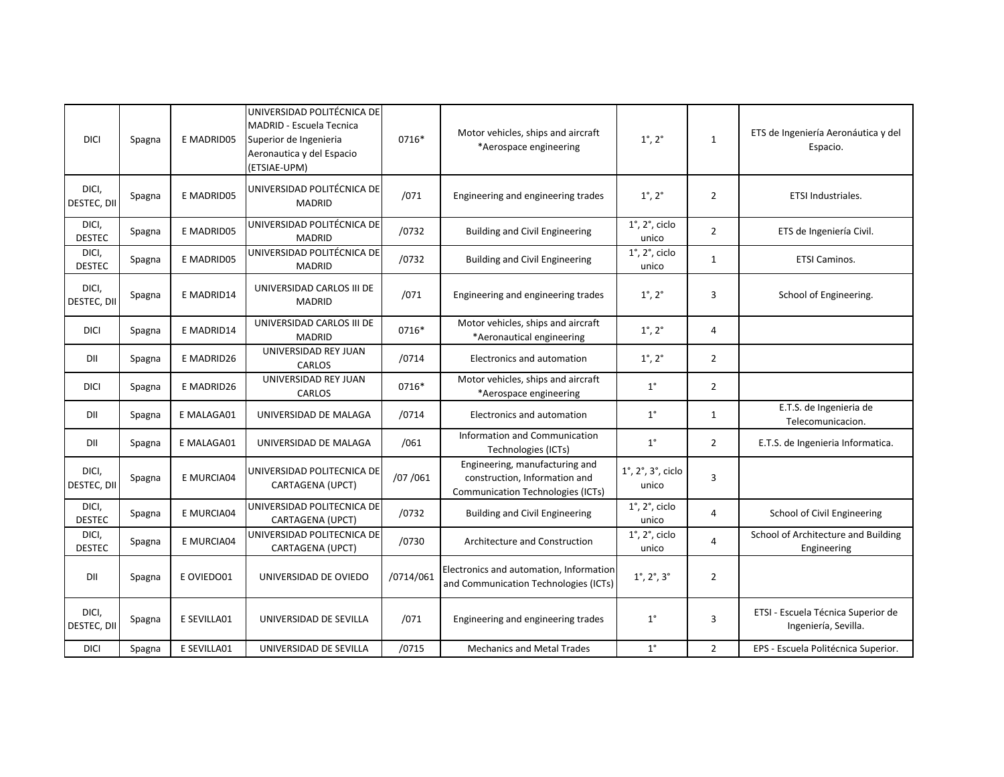| <b>DICI</b>            | Spagna | E MADRID05        | UNIVERSIDAD POLITÉCNICA DE<br>MADRID - Escuela Tecnica<br>Superior de Ingenieria<br>Aeronautica y del Espacio<br>(ETSIAE-UPM) | 0716*     | Motor vehicles, ships and aircraft<br>*Aerospace engineering                                                | $1^{\circ}$ , $2^{\circ}$                          | $\mathbf{1}$   | ETS de Ingeniería Aeronáutica y del<br>Espacio.            |
|------------------------|--------|-------------------|-------------------------------------------------------------------------------------------------------------------------------|-----------|-------------------------------------------------------------------------------------------------------------|----------------------------------------------------|----------------|------------------------------------------------------------|
| DICI,<br>DESTEC, DII   | Spagna | <b>E MADRID05</b> | UNIVERSIDAD POLITÉCNICA DE<br><b>MADRID</b>                                                                                   | /071      | Engineering and engineering trades                                                                          | $1^{\circ}$ , $2^{\circ}$                          | $\overline{2}$ | ETSI Industriales.                                         |
| DICI,<br><b>DESTEC</b> | Spagna | <b>E MADRID05</b> | UNIVERSIDAD POLITÉCNICA DE<br><b>MADRID</b>                                                                                   | /0732     | <b>Building and Civil Engineering</b>                                                                       | $1^\circ$ , $2^\circ$ , ciclo<br>unico             | $\overline{2}$ | ETS de Ingeniería Civil.                                   |
| DICI,<br><b>DESTEC</b> | Spagna | E MADRID05        | UNIVERSIDAD POLITÉCNICA DE<br><b>MADRID</b>                                                                                   | /0732     | <b>Building and Civil Engineering</b>                                                                       | $1^\circ$ , $2^\circ$ , ciclo<br>unico             | $\mathbf{1}$   | <b>ETSI Caminos.</b>                                       |
| DICI,<br>DESTEC, DII   | Spagna | E MADRID14        | UNIVERSIDAD CARLOS III DE<br><b>MADRID</b>                                                                                    | /071      | Engineering and engineering trades                                                                          | $1^{\circ}$ , $2^{\circ}$                          | 3              | School of Engineering.                                     |
| <b>DICI</b>            | Spagna | E MADRID14        | UNIVERSIDAD CARLOS III DE<br><b>MADRID</b>                                                                                    | 0716*     | Motor vehicles, ships and aircraft<br>*Aeronautical engineering                                             | $1^{\circ}$ , $2^{\circ}$                          | $\overline{4}$ |                                                            |
| DII                    | Spagna | E MADRID26        | UNIVERSIDAD REY JUAN<br>CARLOS                                                                                                | /0714     | Electronics and automation                                                                                  | $1^{\circ}$ , $2^{\circ}$                          | $\overline{2}$ |                                                            |
| <b>DICI</b>            | Spagna | E MADRID26        | UNIVERSIDAD REY JUAN<br>CARLOS                                                                                                | 0716*     | Motor vehicles, ships and aircraft<br>*Aerospace engineering                                                | $1^{\circ}$                                        | $\overline{2}$ |                                                            |
| DII                    | Spagna | E MALAGA01        | UNIVERSIDAD DE MALAGA                                                                                                         | /0714     | <b>Electronics and automation</b>                                                                           | $1^{\circ}$                                        | $\mathbf{1}$   | E.T.S. de Ingenieria de<br>Telecomunicacion.               |
| DII                    | Spagna | E MALAGA01        | UNIVERSIDAD DE MALAGA                                                                                                         | /061      | Information and Communication<br>Technologies (ICTs)                                                        | $1^{\circ}$                                        | $\overline{2}$ | E.T.S. de Ingenieria Informatica.                          |
| DICI,<br>DESTEC, DII   | Spagna | E MURCIA04        | UNIVERSIDAD POLITECNICA DE<br>CARTAGENA (UPCT)                                                                                | /07/061   | Engineering, manufacturing and<br>construction, Information and<br><b>Communication Technologies (ICTs)</b> | $1^\circ$ , $2^\circ$ , $3^\circ$ , ciclo<br>unico | 3              |                                                            |
| DICI,<br><b>DESTEC</b> | Spagna | E MURCIA04        | UNIVERSIDAD POLITECNICA DE<br>CARTAGENA (UPCT)                                                                                | /0732     | <b>Building and Civil Engineering</b>                                                                       | $1^\circ$ , $2^\circ$ , ciclo<br>unico             | $\overline{4}$ | School of Civil Engineering                                |
| DICI,<br><b>DESTEC</b> | Spagna | E MURCIA04        | UNIVERSIDAD POLITECNICA DE<br>CARTAGENA (UPCT)                                                                                | /0730     | Architecture and Construction                                                                               | $1^\circ$ , $2^\circ$ , ciclo<br>unico             | $\overline{4}$ | School of Architecture and Building<br>Engineering         |
| DII                    | Spagna | E OVIEDO01        | UNIVERSIDAD DE OVIEDO                                                                                                         | /0714/061 | Electronics and automation, Information<br>and Communication Technologies (ICTs)                            | $1^\circ,\,2^\circ,\,3^\circ$                      | $\overline{2}$ |                                                            |
| DICI,<br>DESTEC, DII   | Spagna | E SEVILLA01       | UNIVERSIDAD DE SEVILLA                                                                                                        | /071      | Engineering and engineering trades                                                                          | $1^{\circ}$                                        | 3              | ETSI - Escuela Técnica Superior de<br>Ingeniería, Sevilla. |
| <b>DICI</b>            | Spagna | E SEVILLA01       | UNIVERSIDAD DE SEVILLA                                                                                                        | /0715     | <b>Mechanics and Metal Trades</b>                                                                           | $1^{\circ}$                                        | $\overline{2}$ | EPS - Escuela Politécnica Superior.                        |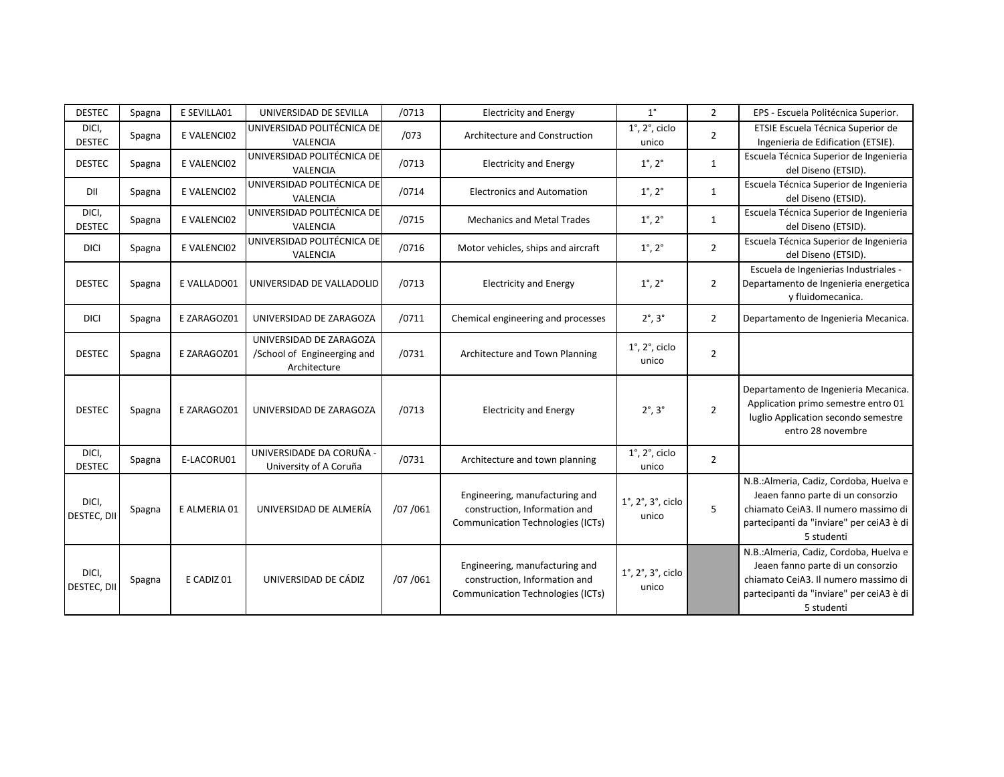| <b>DESTEC</b>          | Spagna | E SEVILLA01  | UNIVERSIDAD DE SEVILLA                                                 | /0713   | <b>Electricity and Energy</b>                                                                               | $1^{\circ}$                                        | $\overline{2}$ | EPS - Escuela Politécnica Superior.                                                                                                                                            |
|------------------------|--------|--------------|------------------------------------------------------------------------|---------|-------------------------------------------------------------------------------------------------------------|----------------------------------------------------|----------------|--------------------------------------------------------------------------------------------------------------------------------------------------------------------------------|
| DICI,<br><b>DESTEC</b> | Spagna | E VALENCI02  | UNIVERSIDAD POLITÉCNICA DE<br><b>VALENCIA</b>                          | /073    | Architecture and Construction                                                                               | $1^\circ$ , $2^\circ$ , ciclo<br>unico             | $\overline{2}$ | ETSIE Escuela Técnica Superior de<br>Ingenieria de Edification (ETSIE).                                                                                                        |
| <b>DESTEC</b>          | Spagna | E VALENCI02  | UNIVERSIDAD POLITÉCNICA DE<br>VALENCIA                                 | /0713   | <b>Electricity and Energy</b>                                                                               | $1^{\circ}$ , $2^{\circ}$                          | 1              | Escuela Técnica Superior de Ingenieria<br>del Diseno (ETSID).                                                                                                                  |
| DII                    | Spagna | E VALENCI02  | UNIVERSIDAD POLITÉCNICA DE<br><b>VALENCIA</b>                          | /0714   | <b>Electronics and Automation</b>                                                                           | $1^{\circ}$ , $2^{\circ}$                          | $\mathbf{1}$   | Escuela Técnica Superior de Ingenieria<br>del Diseno (ETSID).                                                                                                                  |
| DICI,<br><b>DESTEC</b> | Spagna | E VALENCI02  | UNIVERSIDAD POLITÉCNICA DE<br>VALENCIA                                 | /0715   | <b>Mechanics and Metal Trades</b>                                                                           | $1^\circ$ , $2^\circ$                              | $\mathbf{1}$   | Escuela Técnica Superior de Ingenieria<br>del Diseno (ETSID).                                                                                                                  |
| <b>DICI</b>            | Spagna | E VALENCI02  | UNIVERSIDAD POLITÉCNICA DE<br>VALENCIA                                 | /0716   | Motor vehicles, ships and aircraft                                                                          | $1^{\circ}$ , $2^{\circ}$                          | $\overline{2}$ | Escuela Técnica Superior de Ingenieria<br>del Diseno (ETSID).                                                                                                                  |
| <b>DESTEC</b>          | Spagna | E VALLADO01  | UNIVERSIDAD DE VALLADOLID                                              | /0713   | <b>Electricity and Energy</b>                                                                               | $1^{\circ}$ , $2^{\circ}$                          | $\overline{2}$ | Escuela de Ingenierias Industriales -<br>Departamento de Ingenieria energetica<br>y fluidomecanica.                                                                            |
| <b>DICI</b>            | Spagna | E ZARAGOZ01  | UNIVERSIDAD DE ZARAGOZA                                                | /0711   | Chemical engineering and processes                                                                          | $2^\circ$ , $3^\circ$                              | $\overline{2}$ | Departamento de Ingenieria Mecanica.                                                                                                                                           |
| <b>DESTEC</b>          | Spagna | E ZARAGOZ01  | UNIVERSIDAD DE ZARAGOZA<br>/School of Engineerging and<br>Architecture | /0731   | Architecture and Town Planning                                                                              | $1^\circ$ , $2^\circ$ , ciclo<br>unico             | $\overline{2}$ |                                                                                                                                                                                |
| <b>DESTEC</b>          | Spagna | E ZARAGOZ01  | UNIVERSIDAD DE ZARAGOZA                                                | /0713   | <b>Electricity and Energy</b>                                                                               | $2^\circ$ , $3^\circ$                              | $\overline{2}$ | Departamento de Ingenieria Mecanica.<br>Application primo semestre entro 01<br>luglio Application secondo semestre<br>entro 28 novembre                                        |
| DICI,<br><b>DESTEC</b> | Spagna | E-LACORU01   | UNIVERSIDADE DA CORUÑA -<br>University of A Coruña                     | /0731   | Architecture and town planning                                                                              | $1^\circ$ , $2^\circ$ , ciclo<br>unico             | $\overline{2}$ |                                                                                                                                                                                |
| DICI,<br>DESTEC, DII   | Spagna | E ALMERIA 01 | UNIVERSIDAD DE ALMERÍA                                                 | /07/061 | Engineering, manufacturing and<br>construction, Information and<br><b>Communication Technologies (ICTs)</b> | $1^\circ$ , $2^\circ$ , $3^\circ$ , ciclo<br>unico | 5              | N.B.: Almeria, Cadiz, Cordoba, Huelva e<br>Jeaen fanno parte di un consorzio<br>chiamato CeiA3. Il numero massimo di<br>partecipanti da "inviare" per ceiA3 è di<br>5 studenti |
| DICI,<br>DESTEC, DII   | Spagna | E CADIZ 01   | UNIVERSIDAD DE CÁDIZ                                                   | /07/061 | Engineering, manufacturing and<br>construction, Information and<br><b>Communication Technologies (ICTs)</b> | $1^\circ$ , $2^\circ$ , $3^\circ$ , ciclo<br>unico |                | N.B.: Almeria, Cadiz, Cordoba, Huelva e<br>Jeaen fanno parte di un consorzio<br>chiamato CeiA3. Il numero massimo di<br>partecipanti da "inviare" per ceiA3 è di<br>5 studenti |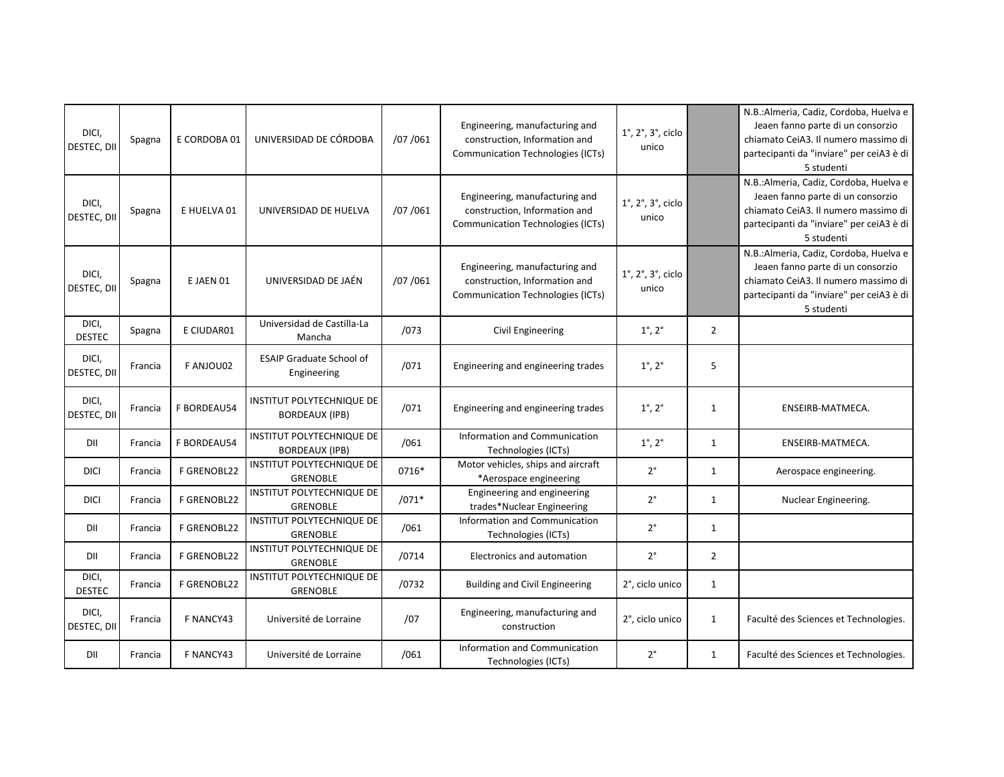| DICI,<br>DESTEC, DII   | Spagna  | E CORDOBA 01       | UNIVERSIDAD DE CÓRDOBA                              | /07 /061 | Engineering, manufacturing and<br>construction, Information and<br><b>Communication Technologies (ICTs)</b> | $1^\circ$ , $2^\circ$ , $3^\circ$ , ciclo<br>unico |                | N.B.: Almeria, Cadiz, Cordoba, Huelva e<br>Jeaen fanno parte di un consorzio<br>chiamato CeiA3. Il numero massimo di<br>partecipanti da "inviare" per ceiA3 è di<br>5 studenti |
|------------------------|---------|--------------------|-----------------------------------------------------|----------|-------------------------------------------------------------------------------------------------------------|----------------------------------------------------|----------------|--------------------------------------------------------------------------------------------------------------------------------------------------------------------------------|
| DICI,<br>DESTEC, DII   | Spagna  | E HUELVA 01        | UNIVERSIDAD DE HUELVA                               | /07/061  | Engineering, manufacturing and<br>construction, Information and<br><b>Communication Technologies (ICTs)</b> | $1^\circ$ , $2^\circ$ , $3^\circ$ , ciclo<br>unico |                | N.B.: Almeria, Cadiz, Cordoba, Huelva e<br>Jeaen fanno parte di un consorzio<br>chiamato CeiA3. Il numero massimo di<br>partecipanti da "inviare" per ceiA3 è di<br>5 studenti |
| DICI,<br>DESTEC, DII   | Spagna  | E JAEN 01          | UNIVERSIDAD DE JAÉN                                 | /07/061  | Engineering, manufacturing and<br>construction, Information and<br><b>Communication Technologies (ICTs)</b> | $1^\circ$ , $2^\circ$ , $3^\circ$ , ciclo<br>unico |                | N.B.: Almeria, Cadiz, Cordoba, Huelva e<br>Jeaen fanno parte di un consorzio<br>chiamato CeiA3. Il numero massimo di<br>partecipanti da "inviare" per ceiA3 è di<br>5 studenti |
| DICI,<br><b>DESTEC</b> | Spagna  | E CIUDAR01         | Universidad de Castilla-La<br>Mancha                | /073     | Civil Engineering                                                                                           | $1^{\circ}$ , $2^{\circ}$                          | $\overline{2}$ |                                                                                                                                                                                |
| DICI,<br>DESTEC, DII   | Francia | F ANJOU02          | <b>ESAIP Graduate School of</b><br>Engineering      | /071     | Engineering and engineering trades                                                                          | $1^{\circ}$ , $2^{\circ}$                          | 5              |                                                                                                                                                                                |
| DICI,<br>DESTEC, DII   | Francia | F BORDEAU54        | INSTITUT POLYTECHNIQUE DE<br><b>BORDEAUX (IPB)</b>  | /071     | Engineering and engineering trades                                                                          | $1^{\circ}$ , $2^{\circ}$                          | 1              | ENSEIRB-MATMECA.                                                                                                                                                               |
| DII                    | Francia | <b>F BORDEAU54</b> | INSTITUT POLYTECHNIQUE DE<br><b>BORDEAUX (IPB)</b>  | /061     | Information and Communication<br>Technologies (ICTs)                                                        | $1^\circ$ , $2^\circ$                              | $\mathbf{1}$   | ENSEIRB-MATMECA.                                                                                                                                                               |
| <b>DICI</b>            | Francia | <b>F GRENOBL22</b> | INSTITUT POLYTECHNIQUE DE<br><b>GRENOBLE</b>        | 0716*    | Motor vehicles, ships and aircraft<br>*Aerospace engineering                                                | $2^{\circ}$                                        | $\mathbf{1}$   | Aerospace engineering.                                                                                                                                                         |
| <b>DICI</b>            | Francia | <b>F GRENOBL22</b> | INSTITUT POLYTECHNIQUE DE<br><b>GRENOBLE</b>        | $/071*$  | Engineering and engineering<br>trades*Nuclear Engineering                                                   | $2^{\circ}$                                        | $\mathbf{1}$   | Nuclear Engineering.                                                                                                                                                           |
| DII                    | Francia | F GRENOBL22        | INSTITUT POLYTECHNIQUE DE<br><b>GRENOBLE</b>        | /061     | Information and Communication<br>Technologies (ICTs)                                                        | $2^{\circ}$                                        | $\mathbf{1}$   |                                                                                                                                                                                |
| DII                    | Francia | F GRENOBL22        | INSTITUT POLYTECHNIQUE DE<br><b>GRENOBLE</b>        | /0714    | Electronics and automation                                                                                  | $2^{\circ}$                                        | $\overline{2}$ |                                                                                                                                                                                |
| DICI,<br><b>DESTEC</b> | Francia | <b>F GRENOBL22</b> | <b>INSTITUT POLYTECHNIQUE DE</b><br><b>GRENOBLE</b> | /0732    | <b>Building and Civil Engineering</b>                                                                       | 2°, ciclo unico                                    | $\mathbf{1}$   |                                                                                                                                                                                |
| DICI,<br>DESTEC, DII   | Francia | F NANCY43          | Université de Lorraine                              | /07      | Engineering, manufacturing and<br>construction                                                              | 2°, ciclo unico                                    | $\mathbf{1}$   | Faculté des Sciences et Technologies.                                                                                                                                          |
| DII                    | Francia | F NANCY43          | Université de Lorraine                              | /061     | Information and Communication<br>Technologies (ICTs)                                                        | $2^{\circ}$                                        | $\mathbf{1}$   | Faculté des Sciences et Technologies.                                                                                                                                          |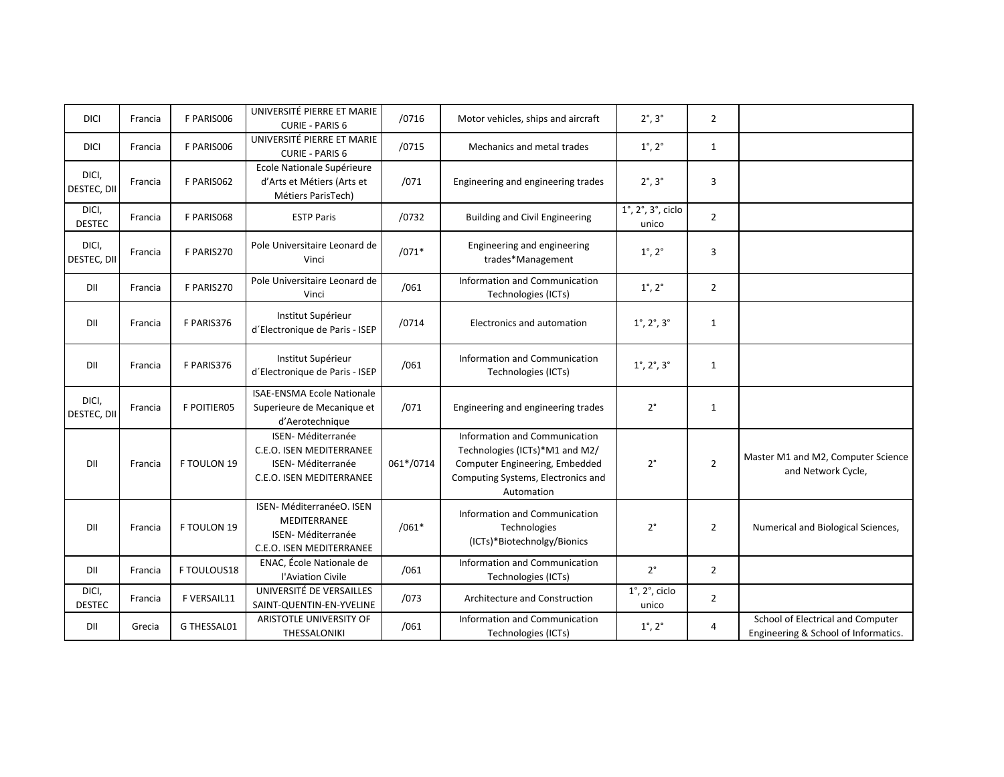| <b>DICI</b>            | Francia | F PARIS006         | UNIVERSITÉ PIERRE ET MARIE<br><b>CURIE - PARIS 6</b>                                                  | /0716     | Motor vehicles, ships and aircraft                                                                                                                    | $2^\circ$ , $3^\circ$                              | $\overline{2}$ |                                                                           |
|------------------------|---------|--------------------|-------------------------------------------------------------------------------------------------------|-----------|-------------------------------------------------------------------------------------------------------------------------------------------------------|----------------------------------------------------|----------------|---------------------------------------------------------------------------|
| <b>DICI</b>            | Francia | F PARISO06         | UNIVERSITÉ PIERRE ET MARIE<br><b>CURIE - PARIS 6</b>                                                  | /0715     | Mechanics and metal trades                                                                                                                            | $1^{\circ}$ , $2^{\circ}$                          | 1              |                                                                           |
| DICI,<br>DESTEC, DII   | Francia | F PARISO62         | Ecole Nationale Supérieure<br>d'Arts et Métiers (Arts et<br>Métiers ParisTech)                        | /071      | Engineering and engineering trades                                                                                                                    | $2^\circ$ , $3^\circ$                              | 3              |                                                                           |
| DICI,<br><b>DESTEC</b> | Francia | F PARIS068         | <b>ESTP Paris</b>                                                                                     | /0732     | <b>Building and Civil Engineering</b>                                                                                                                 | $1^\circ$ , $2^\circ$ , $3^\circ$ , ciclo<br>unico | $\overline{2}$ |                                                                           |
| DICI,<br>DESTEC, DII   | Francia | F PARIS270         | Pole Universitaire Leonard de<br>Vinci                                                                | $/071*$   | Engineering and engineering<br>trades*Management                                                                                                      | $1^{\circ}$ , $2^{\circ}$                          | 3              |                                                                           |
| DII                    | Francia | F PARIS270         | Pole Universitaire Leonard de<br>Vinci                                                                | /061      | Information and Communication<br>Technologies (ICTs)                                                                                                  | $1^{\circ}$ , $2^{\circ}$                          | $\overline{2}$ |                                                                           |
| DII                    | Francia | F PARIS376         | Institut Supérieur<br>d'Electronique de Paris - ISEP                                                  | /0714     | Electronics and automation                                                                                                                            | $1^{\circ}$ , $2^{\circ}$ , $3^{\circ}$            | $\mathbf{1}$   |                                                                           |
| DII                    | Francia | F PARIS376         | Institut Supérieur<br>d'Electronique de Paris - ISEP                                                  | /061      | Information and Communication<br>Technologies (ICTs)                                                                                                  | $1^{\circ}$ , $2^{\circ}$ , $3^{\circ}$            | $\mathbf{1}$   |                                                                           |
| DICI,<br>DESTEC, DII   | Francia | <b>F POITIER05</b> | <b>ISAE-ENSMA Ecole Nationale</b><br>Superieure de Mecanique et<br>d'Aerotechnique                    | /071      | Engineering and engineering trades                                                                                                                    | $2^{\circ}$                                        | $\mathbf{1}$   |                                                                           |
| DII                    | Francia | F TOULON 19        | <b>ISEN-Méditerranée</b><br>C.E.O. ISEN MEDITERRANEE<br>ISEN-Méditerranée<br>C.E.O. ISEN MEDITERRANEE | 061*/0714 | Information and Communication<br>Technologies (ICTs)*M1 and M2/<br>Computer Engineering, Embedded<br>Computing Systems, Electronics and<br>Automation | $2^{\circ}$                                        | $\overline{2}$ | Master M1 and M2, Computer Science<br>and Network Cycle,                  |
| DII                    | Francia | F TOULON 19        | ISEN- MéditerranéeO. ISEN<br>MEDITERRANEE<br><b>ISEN-Méditerranée</b><br>C.E.O. ISEN MEDITERRANEE     | $/061*$   | Information and Communication<br>Technologies<br>(ICTs)*Biotechnolgy/Bionics                                                                          | $2^{\circ}$                                        | $\overline{2}$ | Numerical and Biological Sciences,                                        |
| DII                    | Francia | F TOULOUS18        | ENAC, École Nationale de<br>l'Aviation Civile                                                         | /061      | Information and Communication<br>Technologies (ICTs)                                                                                                  | $2^{\circ}$                                        | $\overline{2}$ |                                                                           |
| DICI,<br><b>DESTEC</b> | Francia | F VERSAIL11        | UNIVERSITÉ DE VERSAILLES<br>SAINT-QUENTIN-EN-YVELINE                                                  | /073      | <b>Architecture and Construction</b>                                                                                                                  | $1^\circ$ , $2^\circ$ , ciclo<br>unico             | $\overline{2}$ |                                                                           |
| DII                    | Grecia  | G THESSAL01        | ARISTOTLE UNIVERSITY OF<br>THESSALONIKI                                                               | /061      | Information and Communication<br>Technologies (ICTs)                                                                                                  | $1^{\circ}$ , $2^{\circ}$                          | 4              | School of Electrical and Computer<br>Engineering & School of Informatics. |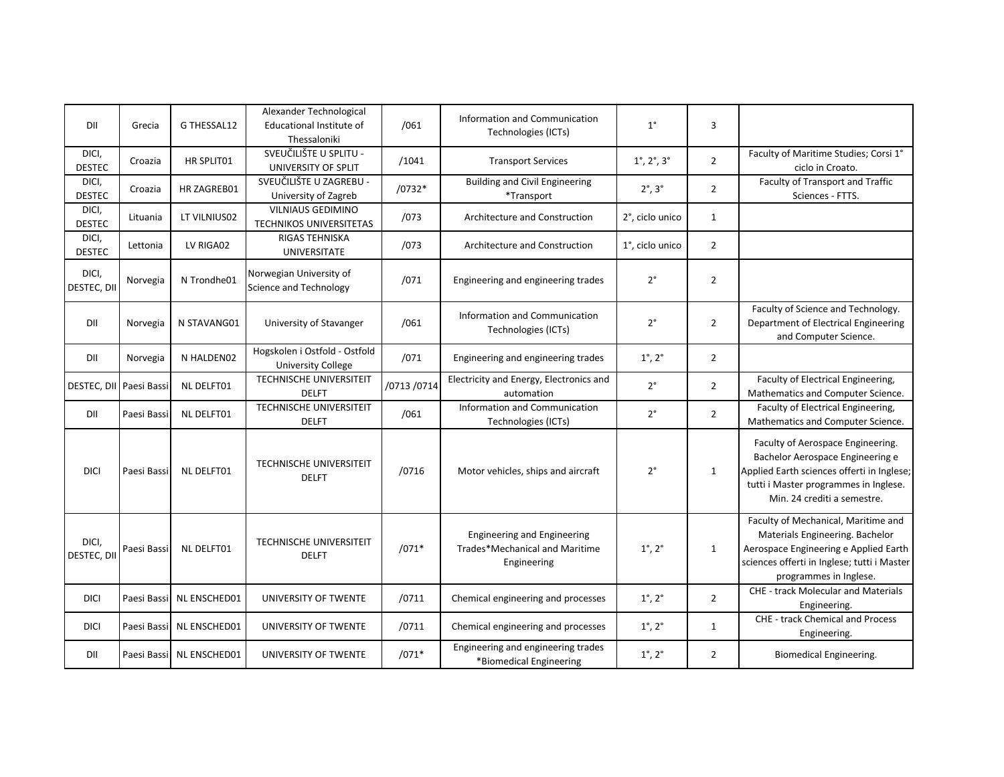| DII                     | Grecia      | G THESSAL12               | Alexander Technological<br>Educational Institute of<br>Thessaloniki | /061        | Information and Communication<br>Technologies (ICTs)                                | $1^{\circ}$                             | 3              |                                                                                                                                                                                             |
|-------------------------|-------------|---------------------------|---------------------------------------------------------------------|-------------|-------------------------------------------------------------------------------------|-----------------------------------------|----------------|---------------------------------------------------------------------------------------------------------------------------------------------------------------------------------------------|
| DICI,<br><b>DESTEC</b>  | Croazia     | HR SPLIT01                | SVEUČILIŠTE U SPLITU -<br>UNIVERSITY OF SPLIT                       | /1041       | <b>Transport Services</b>                                                           | $1^{\circ}$ , $2^{\circ}$ , $3^{\circ}$ | $\overline{2}$ | Faculty of Maritime Studies; Corsi 1°<br>ciclo in Croato.                                                                                                                                   |
| DICI,<br><b>DESTEC</b>  | Croazia     | HR ZAGREB01               | SVEUČILIŠTE U ZAGREBU -<br>University of Zagreb                     | /0732*      | <b>Building and Civil Engineering</b><br>*Transport                                 | $2^\circ$ , $3^\circ$                   | $\overline{2}$ | Faculty of Transport and Traffic<br>Sciences - FTTS.                                                                                                                                        |
| DICI,<br><b>DESTEC</b>  | Lituania    | LT VILNIUS02              | <b>VILNIAUS GEDIMINO</b><br><b>TECHNIKOS UNIVERSITETAS</b>          | /073        | Architecture and Construction                                                       | 2°, ciclo unico                         | $\mathbf{1}$   |                                                                                                                                                                                             |
| DICI,<br><b>DESTEC</b>  | Lettonia    | LV RIGA02                 | RIGAS TEHNISKA<br><b>UNIVERSITATE</b>                               | /073        | Architecture and Construction                                                       | 1°, ciclo unico                         | $\overline{2}$ |                                                                                                                                                                                             |
| DICI,<br>DESTEC, DII    | Norvegia    | N Trondhe01               | Norwegian University of<br><b>Science and Technology</b>            | /071        | Engineering and engineering trades                                                  | $2^{\circ}$                             | $\overline{2}$ |                                                                                                                                                                                             |
| DII                     | Norvegia    | N STAVANG01               | University of Stavanger                                             | /061        | Information and Communication<br>Technologies (ICTs)                                | $2^{\circ}$                             | $\overline{2}$ | Faculty of Science and Technology.<br>Department of Electrical Engineering<br>and Computer Science.                                                                                         |
| DII                     | Norvegia    | N HALDEN02                | Hogskolen i Ostfold - Ostfold<br><b>University College</b>          | /071        | Engineering and engineering trades                                                  | $1^{\circ}$ , $2^{\circ}$               | $\overline{2}$ |                                                                                                                                                                                             |
| DESTEC, DII Paesi Bassi |             | <b>NL DELFT01</b>         | <b>TECHNISCHE UNIVERSITEIT</b><br><b>DELFT</b>                      | /0713 /0714 | Electricity and Energy, Electronics and<br>automation                               | $2^{\circ}$                             | $\overline{2}$ | Faculty of Electrical Engineering,<br>Mathematics and Computer Science.                                                                                                                     |
| DII                     | Paesi Bassi | <b>NL DELFT01</b>         | <b>TECHNISCHE UNIVERSITEIT</b><br><b>DELFT</b>                      | /061        | Information and Communication<br>Technologies (ICTs)                                | $2^{\circ}$                             | $\overline{2}$ | Faculty of Electrical Engineering,<br>Mathematics and Computer Science.                                                                                                                     |
| <b>DICI</b>             | Paesi Bassi | <b>NL DELFT01</b>         | <b>TECHNISCHE UNIVERSITEIT</b><br><b>DELFT</b>                      | /0716       | Motor vehicles, ships and aircraft                                                  | $2^{\circ}$                             | $\mathbf{1}$   | Faculty of Aerospace Engineering.<br>Bachelor Aerospace Engineering e<br>Applied Earth sciences offerti in Inglese;<br>tutti i Master programmes in Inglese.<br>Min. 24 crediti a semestre. |
| DICI,<br>DESTEC, DII    | Paesi Bassi | NL DELFT01                | <b>TECHNISCHE UNIVERSITEIT</b><br><b>DELFT</b>                      | $/071*$     | <b>Engineering and Engineering</b><br>Trades*Mechanical and Maritime<br>Engineering | $1^\circ$ , $2^\circ$                   | $\mathbf{1}$   | Faculty of Mechanical, Maritime and<br>Materials Engineering. Bachelor<br>Aerospace Engineering e Applied Earth<br>sciences offerti in Inglese; tutti i Master<br>programmes in Inglese.    |
| <b>DICI</b>             | Paesi Bassi | NL ENSCHED01              | UNIVERSITY OF TWENTE                                                | /0711       | Chemical engineering and processes                                                  | $1^\circ$ , $2^\circ$                   | $\overline{2}$ | <b>CHE - track Molecular and Materials</b><br>Engineering.                                                                                                                                  |
| <b>DICI</b>             |             | Paesi Bassi NL ENSCHED01  | UNIVERSITY OF TWENTE                                                | /0711       | Chemical engineering and processes                                                  | $1^\circ$ , $2^\circ$                   | $\mathbf{1}$   | <b>CHE - track Chemical and Process</b><br>Engineering.                                                                                                                                     |
| DII                     |             | Paesi Bassil NL ENSCHED01 | UNIVERSITY OF TWENTE                                                | $/071*$     | Engineering and engineering trades<br>*Biomedical Engineering                       | $1^{\circ}$ , $2^{\circ}$               | $\overline{2}$ | Biomedical Engineering.                                                                                                                                                                     |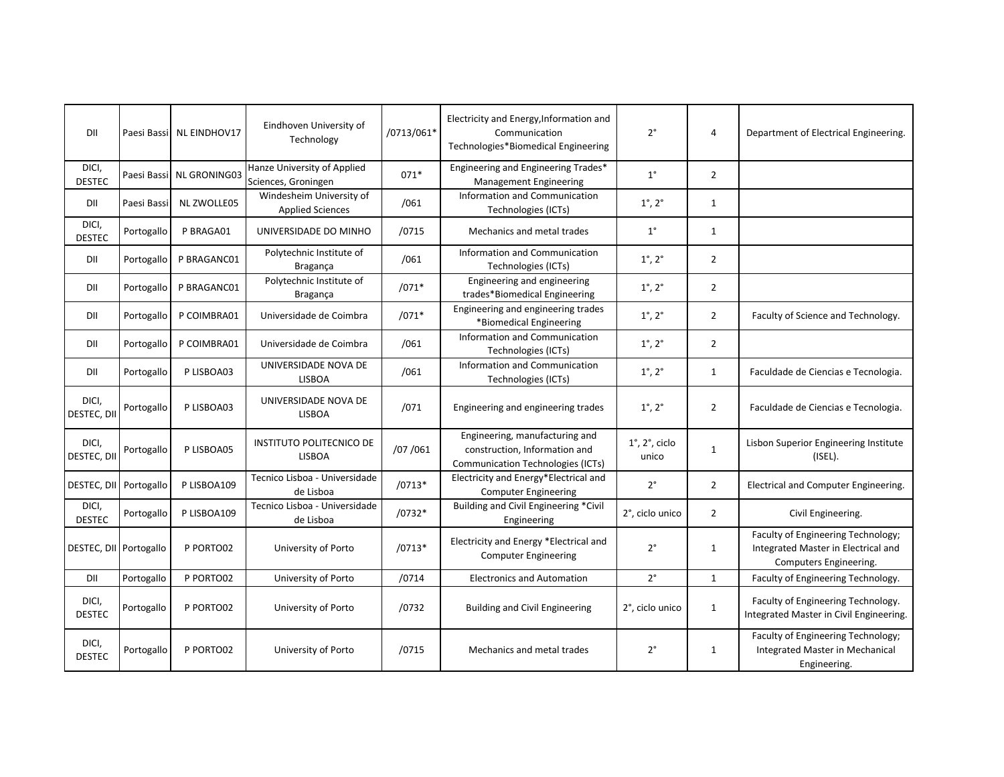| DII                    |             | Paesi Bassi NL EINDHOV17 | Eindhoven University of<br>Technology               | /0713/061* | Electricity and Energy, Information and<br>Communication<br>Technologies*Biomedical Engineering      | $2^{\circ}$                            | $\overline{4}$ | Department of Electrical Engineering.                                                               |
|------------------------|-------------|--------------------------|-----------------------------------------------------|------------|------------------------------------------------------------------------------------------------------|----------------------------------------|----------------|-----------------------------------------------------------------------------------------------------|
| DICI,<br><b>DESTEC</b> |             | Paesi Bassi NL GRONING03 | Hanze University of Applied<br>Sciences, Groningen  | $071*$     | Engineering and Engineering Trades*<br><b>Management Engineering</b>                                 | $1^{\circ}$                            | $\overline{2}$ |                                                                                                     |
| DII                    | Paesi Bassi | <b>NL ZWOLLE05</b>       | Windesheim University of<br><b>Applied Sciences</b> | /061       | Information and Communication<br>Technologies (ICTs)                                                 | $1^{\circ}$ , $2^{\circ}$              | $\mathbf{1}$   |                                                                                                     |
| DICI,<br><b>DESTEC</b> | Portogallo  | P BRAGA01                | UNIVERSIDADE DO MINHO                               | /0715      | Mechanics and metal trades                                                                           | $1^{\circ}$                            | 1              |                                                                                                     |
| DII                    | Portogallo  | P BRAGANC01              | Polytechnic Institute of<br>Bragança                | /061       | Information and Communication<br>Technologies (ICTs)                                                 | $1^{\circ}$ , $2^{\circ}$              | $\overline{2}$ |                                                                                                     |
| DII                    | Portogallo  | P BRAGANC01              | Polytechnic Institute of<br>Bragança                | $/071*$    | Engineering and engineering<br>trades*Biomedical Engineering                                         | $1^{\circ}$ , $2^{\circ}$              | $\overline{2}$ |                                                                                                     |
| DII                    | Portogallo  | P COIMBRA01              | Universidade de Coimbra                             | $/071*$    | Engineering and engineering trades<br>*Biomedical Engineering                                        | $1^{\circ}$ , $2^{\circ}$              | $\overline{2}$ | Faculty of Science and Technology.                                                                  |
| DII                    | Portogallo  | P COIMBRA01              | Universidade de Coimbra                             | /061       | Information and Communication<br>Technologies (ICTs)                                                 | $1^{\circ}$ , $2^{\circ}$              | $\overline{2}$ |                                                                                                     |
| DII                    | Portogallo  | P LISBOA03               | UNIVERSIDADE NOVA DE<br><b>LISBOA</b>               | /061       | Information and Communication<br>Technologies (ICTs)                                                 | $1^{\circ}$ , $2^{\circ}$              | 1              | Faculdade de Ciencias e Tecnologia.                                                                 |
| DICI,<br>DESTEC, DII   | Portogallo  | P LISBOA03               | UNIVERSIDADE NOVA DE<br><b>LISBOA</b>               | /071       | Engineering and engineering trades                                                                   | $1^{\circ}$ , $2^{\circ}$              | $\overline{2}$ | Faculdade de Ciencias e Tecnologia.                                                                 |
| DICI,<br>DESTEC, DI    | Portogallo  | P LISBOA05               | <b>INSTITUTO POLITECNICO DE</b><br><b>LISBOA</b>    | /07/061    | Engineering, manufacturing and<br>construction, Information and<br>Communication Technologies (ICTs) | $1^\circ$ , $2^\circ$ , ciclo<br>unico | $\mathbf{1}$   | Lisbon Superior Engineering Institute<br>$($ ISEL $).$                                              |
| DESTEC, DII            | Portogallo  | P LISBOA109              | Tecnico Lisboa - Universidade<br>de Lisboa          | $/0713*$   | Electricity and Energy*Electrical and<br><b>Computer Engineering</b>                                 | $2^{\circ}$                            | $\overline{2}$ | Electrical and Computer Engineering.                                                                |
| DICI,<br><b>DESTEC</b> | Portogallo  | P LISBOA109              | Tecnico Lisboa - Universidade<br>de Lisboa          | $/0732*$   | Building and Civil Engineering *Civil<br>Engineering                                                 | 2°, ciclo unico                        | $\overline{2}$ | Civil Engineering.                                                                                  |
| DESTEC, DII            | Portogallo  | P PORTO02                | University of Porto                                 | $/0713*$   | Electricity and Energy *Electrical and<br><b>Computer Engineering</b>                                | $2^{\circ}$                            | $\mathbf{1}$   | Faculty of Engineering Technology;<br>Integrated Master in Electrical and<br>Computers Engineering. |
| DII                    | Portogallo  | P PORTO02                | University of Porto                                 | /0714      | <b>Electronics and Automation</b>                                                                    | $2^{\circ}$                            | $\mathbf{1}$   | Faculty of Engineering Technology.                                                                  |
| DICI,<br><b>DESTEC</b> | Portogallo  | P PORTO02                | University of Porto                                 | /0732      | <b>Building and Civil Engineering</b>                                                                | 2°, ciclo unico                        | $\mathbf{1}$   | Faculty of Engineering Technology.<br>Integrated Master in Civil Engineering.                       |
| DICI,<br><b>DESTEC</b> | Portogallo  | P PORTO02                | University of Porto                                 | /0715      | Mechanics and metal trades                                                                           | $2^{\circ}$                            | $\mathbf{1}$   | Faculty of Engineering Technology;<br>Integrated Master in Mechanical<br>Engineering.               |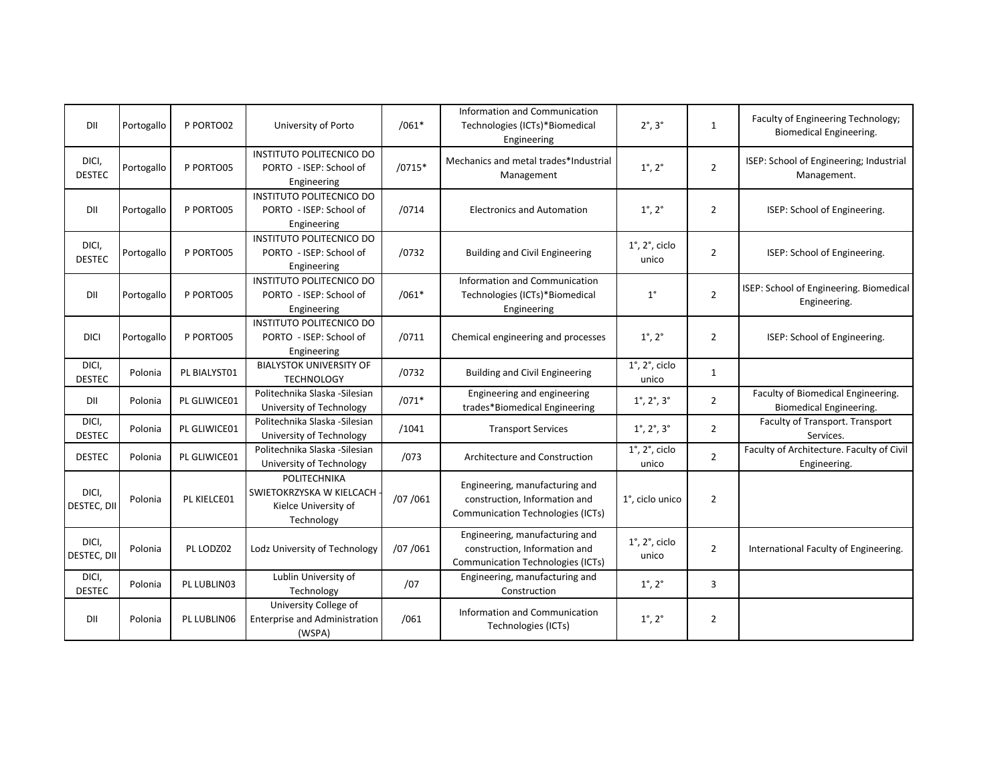| DII                    | Portogallo | P PORTO02    | University of Porto                                                            | $/061*$  | Information and Communication<br>Technologies (ICTs)*Biomedical<br>Engineering                              | $2^\circ$ , $3^\circ$                   | $\mathbf{1}$   | Faculty of Engineering Technology;<br>Biomedical Engineering. |
|------------------------|------------|--------------|--------------------------------------------------------------------------------|----------|-------------------------------------------------------------------------------------------------------------|-----------------------------------------|----------------|---------------------------------------------------------------|
| DICI,<br><b>DESTEC</b> | Portogallo | P PORTO05    | <b>INSTITUTO POLITECNICO DO</b><br>PORTO - ISEP: School of<br>Engineering      | $/0715*$ | Mechanics and metal trades*Industrial<br>Management                                                         | $1^{\circ}$ , $2^{\circ}$               | $\overline{2}$ | ISEP: School of Engineering; Industrial<br>Management.        |
| DII                    | Portogallo | P PORTO05    | <b>INSTITUTO POLITECNICO DO</b><br>PORTO - ISEP: School of<br>Engineering      | /0714    | <b>Electronics and Automation</b>                                                                           | $1^{\circ}$ , $2^{\circ}$               | $\overline{2}$ | ISEP: School of Engineering.                                  |
| DICI,<br><b>DESTEC</b> | Portogallo | P PORTO05    | INSTITUTO POLITECNICO DO<br>PORTO - ISEP: School of<br>Engineering             | /0732    | <b>Building and Civil Engineering</b>                                                                       | $1^\circ$ , $2^\circ$ , ciclo<br>unico  | $\overline{2}$ | ISEP: School of Engineering.                                  |
| DII                    | Portogallo | P PORTO05    | <b>INSTITUTO POLITECNICO DO</b><br>PORTO - ISEP: School of<br>Engineering      | $/061*$  | Information and Communication<br>Technologies (ICTs)*Biomedical<br>Engineering                              | $1^{\circ}$                             | $\overline{2}$ | ISEP: School of Engineering. Biomedical<br>Engineering.       |
| <b>DICI</b>            | Portogallo | P PORTO05    | <b>INSTITUTO POLITECNICO DO</b><br>PORTO - ISEP: School of<br>Engineering      | /0711    | Chemical engineering and processes                                                                          | $1^{\circ}$ , $2^{\circ}$               | $\overline{2}$ | ISEP: School of Engineering.                                  |
| DICI,<br><b>DESTEC</b> | Polonia    | PL BIALYST01 | <b>BIALYSTOK UNIVERSITY OF</b><br><b>TECHNOLOGY</b>                            | /0732    | <b>Building and Civil Engineering</b>                                                                       | $1^\circ$ , $2^\circ$ , ciclo<br>unico  | $\mathbf{1}$   |                                                               |
| DII                    | Polonia    | PL GLIWICE01 | Politechnika Slaska - Silesian<br>University of Technology                     | $/071*$  | Engineering and engineering<br>trades*Biomedical Engineering                                                | $1^{\circ}$ , $2^{\circ}$ , $3^{\circ}$ | $\overline{2}$ | Faculty of Biomedical Engineering.<br>Biomedical Engineering. |
| DICI,<br><b>DESTEC</b> | Polonia    | PL GLIWICE01 | Politechnika Slaska - Silesian<br>University of Technology                     | /1041    | <b>Transport Services</b>                                                                                   | $1^{\circ}$ , $2^{\circ}$ , $3^{\circ}$ | $\overline{2}$ | Faculty of Transport. Transport<br>Services.                  |
| <b>DESTEC</b>          | Polonia    | PL GLIWICE01 | Politechnika Slaska - Silesian<br>University of Technology                     | /073     | Architecture and Construction                                                                               | $1^\circ$ , $2^\circ$ , ciclo<br>unico  | $\overline{2}$ | Faculty of Architecture. Faculty of Civil<br>Engineering.     |
| DICI.<br>DESTEC, DII   | Polonia    | PL KIELCE01  | POLITECHNIKA<br>SWIETOKRZYSKA W KIELCACH<br>Kielce University of<br>Technology | /07/061  | Engineering, manufacturing and<br>construction, Information and<br><b>Communication Technologies (ICTs)</b> | 1°, ciclo unico                         | $\overline{2}$ |                                                               |
| DICI,<br>DESTEC, DII   | Polonia    | PL LODZ02    | Lodz University of Technology                                                  | /07 /061 | Engineering, manufacturing and<br>construction, Information and<br><b>Communication Technologies (ICTs)</b> | $1^\circ$ , $2^\circ$ , ciclo<br>unico  | $\overline{2}$ | International Faculty of Engineering.                         |
| DICI,<br><b>DESTEC</b> | Polonia    | PL LUBLIN03  | Lublin University of<br>Technology                                             | /07      | Engineering, manufacturing and<br>Construction                                                              | $1^{\circ}$ , $2^{\circ}$               | 3              |                                                               |
| DII                    | Polonia    | PL LUBLIN06  | University College of<br><b>Enterprise and Administration</b><br>(WSPA)        | /061     | Information and Communication<br>Technologies (ICTs)                                                        | $1^\circ$ , $2^\circ$                   | $\overline{2}$ |                                                               |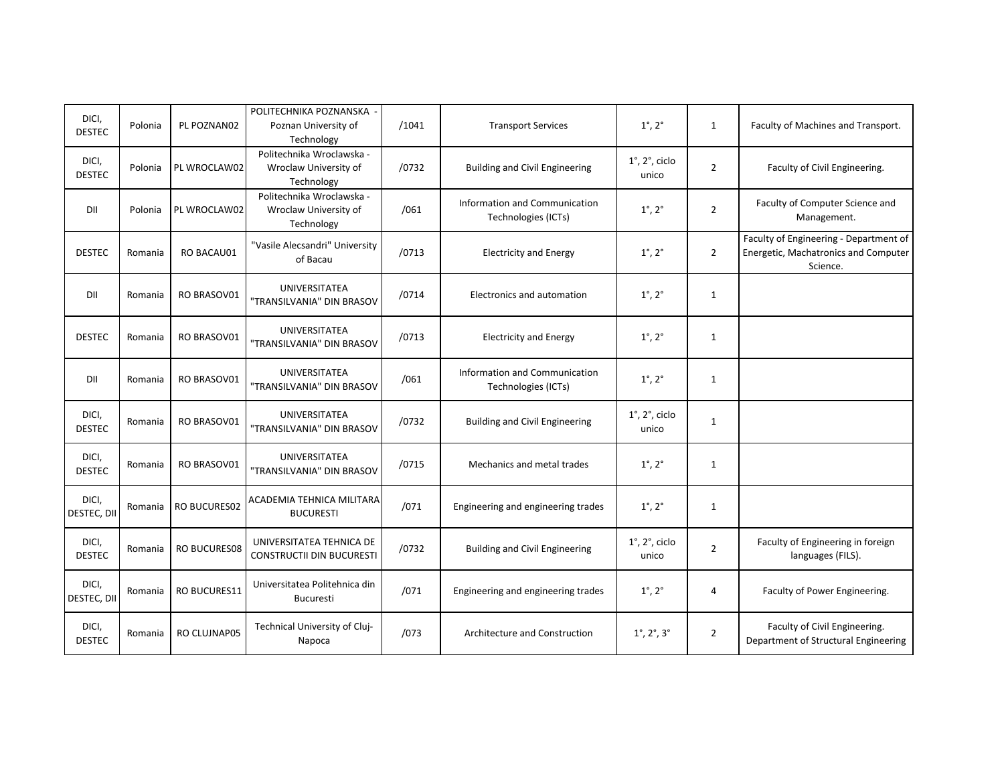| DICI,<br><b>DESTEC</b> | Polonia | PL POZNAN02         | POLITECHNIKA POZNANSKA<br>Poznan University of<br>Technology     | /1041 | <b>Transport Services</b>                            | $1^{\circ}$ , $2^{\circ}$               | $\mathbf{1}$   | Faculty of Machines and Transport.                                                         |
|------------------------|---------|---------------------|------------------------------------------------------------------|-------|------------------------------------------------------|-----------------------------------------|----------------|--------------------------------------------------------------------------------------------|
| DICI,<br><b>DESTEC</b> | Polonia | PL WROCLAW02        | Politechnika Wroclawska -<br>Wroclaw University of<br>Technology | /0732 | <b>Building and Civil Engineering</b>                | $1^\circ$ , $2^\circ$ , ciclo<br>unico  | $\overline{2}$ | Faculty of Civil Engineering.                                                              |
| DII                    | Polonia | PL WROCLAW02        | Politechnika Wroclawska -<br>Wroclaw University of<br>Technology | /061  | Information and Communication<br>Technologies (ICTs) | $1^{\circ}$ , $2^{\circ}$               | $\overline{2}$ | Faculty of Computer Science and<br>Management.                                             |
| <b>DESTEC</b>          | Romania | <b>RO BACAU01</b>   | "Vasile Alecsandri" University<br>of Bacau                       | /0713 | <b>Electricity and Energy</b>                        | $1^{\circ}$ , $2^{\circ}$               | $\overline{2}$ | Faculty of Engineering - Department of<br>Energetic, Machatronics and Computer<br>Science. |
| DII                    | Romania | RO BRASOV01         | <b>UNIVERSITATEA</b><br>"TRANSILVANIA" DIN BRASOV                | /0714 | Electronics and automation                           | $1^{\circ}$ , $2^{\circ}$               | $\mathbf{1}$   |                                                                                            |
| <b>DESTEC</b>          | Romania | RO BRASOV01         | <b>UNIVERSITATEA</b><br>"TRANSILVANIA" DIN BRASOV                | /0713 | <b>Electricity and Energy</b>                        | $1^{\circ}$ , $2^{\circ}$               | $\mathbf{1}$   |                                                                                            |
| DII                    | Romania | RO BRASOV01         | <b>UNIVERSITATEA</b><br>"TRANSILVANIA" DIN BRASOV                | /061  | Information and Communication<br>Technologies (ICTs) | $1^\circ$ , $2^\circ$                   | $\mathbf{1}$   |                                                                                            |
| DICI,<br><b>DESTEC</b> | Romania | RO BRASOV01         | <b>UNIVERSITATEA</b><br>"TRANSILVANIA" DIN BRASOV                | /0732 | <b>Building and Civil Engineering</b>                | $1^\circ$ , $2^\circ$ , ciclo<br>unico  | $\mathbf{1}$   |                                                                                            |
| DICI,<br><b>DESTEC</b> | Romania | RO BRASOV01         | UNIVERSITATEA<br>"TRANSILVANIA" DIN BRASOV                       | /0715 | Mechanics and metal trades                           | $1^{\circ}$ , $2^{\circ}$               | $\mathbf{1}$   |                                                                                            |
| DICI,<br>DESTEC, DII   | Romania | <b>RO BUCURES02</b> | ACADEMIA TEHNICA MILITARA<br><b>BUCURESTI</b>                    | /071  | Engineering and engineering trades                   | $1^{\circ}$ , $2^{\circ}$               | $\mathbf{1}$   |                                                                                            |
| DICI,<br><b>DESTEC</b> | Romania | <b>RO BUCURES08</b> | UNIVERSITATEA TEHNICA DE<br><b>CONSTRUCTII DIN BUCURESTI</b>     | /0732 | <b>Building and Civil Engineering</b>                | $1^\circ$ , $2^\circ$ , ciclo<br>unico  | $\overline{2}$ | Faculty of Engineering in foreign<br>languages (FILS).                                     |
| DICI,<br>DESTEC, DII   | Romania | <b>RO BUCURES11</b> | Universitatea Politehnica din<br><b>Bucuresti</b>                | /071  | Engineering and engineering trades                   | $1^\circ$ , $2^\circ$                   | 4              | Faculty of Power Engineering.                                                              |
| DICI,<br><b>DESTEC</b> | Romania | RO CLUJNAP05        | Technical University of Cluj-<br>Napoca                          | /073  | Architecture and Construction                        | $1^{\circ}$ , $2^{\circ}$ , $3^{\circ}$ | $\overline{2}$ | Faculty of Civil Engineering.<br>Department of Structural Engineering                      |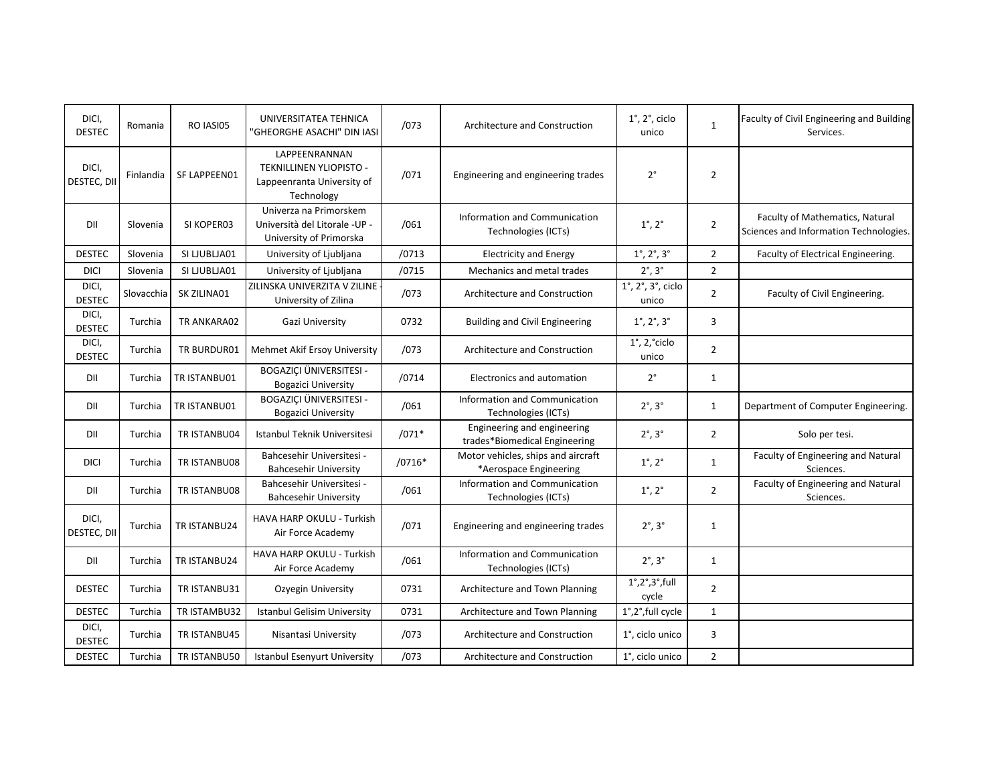| DICI,<br><b>DESTEC</b> | Romania    | RO IASI05    | UNIVERSITATEA TEHNICA<br>'GHEORGHE ASACHI" DIN IASI                                  | /073     | Architecture and Construction                                | $1^\circ$ , $2^\circ$ , ciclo<br>unico             | $\mathbf{1}$   | Faculty of Civil Engineering and Building<br>Services.                    |
|------------------------|------------|--------------|--------------------------------------------------------------------------------------|----------|--------------------------------------------------------------|----------------------------------------------------|----------------|---------------------------------------------------------------------------|
| DICI,<br>DESTEC, DII   | Finlandia  | SF LAPPEEN01 | LAPPEENRANNAN<br>TEKNILLINEN YLIOPISTO -<br>Lappeenranta University of<br>Technology | /071     | Engineering and engineering trades                           | $2^{\circ}$                                        | $\overline{2}$ |                                                                           |
| DII                    | Slovenia   | SI KOPER03   | Univerza na Primorskem<br>Università del Litorale -UP -<br>University of Primorska   | /061     | Information and Communication<br>Technologies (ICTs)         | $1^{\circ}$ , $2^{\circ}$                          | $\overline{2}$ | Faculty of Mathematics, Natural<br>Sciences and Information Technologies. |
| <b>DESTEC</b>          | Slovenia   | SI LJUBLJA01 | University of Ljubljana                                                              | /0713    | <b>Electricity and Energy</b>                                | $1^{\circ}$ , $2^{\circ}$ , $3^{\circ}$            | $\overline{2}$ | Faculty of Electrical Engineering.                                        |
| <b>DICI</b>            | Slovenia   | SI LJUBLJA01 | University of Ljubljana                                                              | /0715    | Mechanics and metal trades                                   | $2^\circ$ , $3^\circ$                              | $\overline{2}$ |                                                                           |
| DICI,<br><b>DESTEC</b> | Slovacchia | SK ZILINA01  | ZILINSKA UNIVERZITA V ZILINE<br>University of Zilina                                 | /073     | Architecture and Construction                                | $1^\circ$ , $2^\circ$ , $3^\circ$ , ciclo<br>unico | $\overline{2}$ | Faculty of Civil Engineering.                                             |
| DICI,<br><b>DESTEC</b> | Turchia    | TR ANKARA02  | Gazi University                                                                      | 0732     | <b>Building and Civil Engineering</b>                        | $1^{\circ}$ , $2^{\circ}$ , $3^{\circ}$            | 3              |                                                                           |
| DICI,<br><b>DESTEC</b> | Turchia    | TR BURDUR01  | Mehmet Akif Ersoy University                                                         | /073     | Architecture and Construction                                | $1^\circ$ , $2,^\circ$ ciclo<br>unico              | $\overline{2}$ |                                                                           |
| DII                    | Turchia    | TR ISTANBU01 | BOGAZIÇI ÜNIVERSITESI -<br><b>Bogazici University</b>                                | /0714    | Electronics and automation                                   | $2^{\circ}$                                        | 1              |                                                                           |
| DII                    | Turchia    | TR ISTANBU01 | <b>BOGAZICI ÜNIVERSITESI -</b><br><b>Bogazici University</b>                         | /061     | Information and Communication<br>Technologies (ICTs)         | $2^\circ$ , $3^\circ$                              | 1              | Department of Computer Engineering.                                       |
| DII                    | Turchia    | TR ISTANBU04 | Istanbul Teknik Universitesi                                                         | $/071*$  | Engineering and engineering<br>trades*Biomedical Engineering | $2^\circ$ , $3^\circ$                              | $\overline{2}$ | Solo per tesi.                                                            |
| <b>DICI</b>            | Turchia    | TR ISTANBU08 | Bahcesehir Universitesi -<br><b>Bahcesehir University</b>                            | $/0716*$ | Motor vehicles, ships and aircraft<br>*Aerospace Engineering | $1^\circ$ , $2^\circ$                              | $\mathbf{1}$   | Faculty of Engineering and Natural<br>Sciences.                           |
| DII                    | Turchia    | TR ISTANBU08 | Bahcesehir Universitesi -<br><b>Bahcesehir University</b>                            | /061     | Information and Communication<br>Technologies (ICTs)         | $1^\circ$ , $2^\circ$                              | $\overline{2}$ | Faculty of Engineering and Natural<br>Sciences.                           |
| DICI,<br>DESTEC, DII   | Turchia    | TR ISTANBU24 | HAVA HARP OKULU - Turkish<br>Air Force Academy                                       | /071     | Engineering and engineering trades                           | $2^\circ$ , $3^\circ$                              | $\mathbf{1}$   |                                                                           |
| DII                    | Turchia    | TR ISTANBU24 | HAVA HARP OKULU - Turkish<br>Air Force Academy                                       | /061     | Information and Communication<br>Technologies (ICTs)         | $2^\circ$ , $3^\circ$                              | $\mathbf{1}$   |                                                                           |
| <b>DESTEC</b>          | Turchia    | TR ISTANBU31 | Ozyegin University                                                                   | 0731     | Architecture and Town Planning                               | $1^\circ, 2^\circ, 3^\circ,$ full<br>cycle         | $\overline{2}$ |                                                                           |
| <b>DESTEC</b>          | Turchia    | TR ISTAMBU32 | <b>Istanbul Gelisim University</b>                                                   | 0731     | Architecture and Town Planning                               | 1°,2°,full cycle                                   | $\mathbf{1}$   |                                                                           |
| DICI,<br><b>DESTEC</b> | Turchia    | TR ISTANBU45 | Nisantasi University                                                                 | /073     | Architecture and Construction                                | 1°, ciclo unico                                    | 3              |                                                                           |
| <b>DESTEC</b>          | Turchia    | TR ISTANBU50 | Istanbul Esenyurt University                                                         | /073     | Architecture and Construction                                | 1°, ciclo unico                                    | $\overline{2}$ |                                                                           |